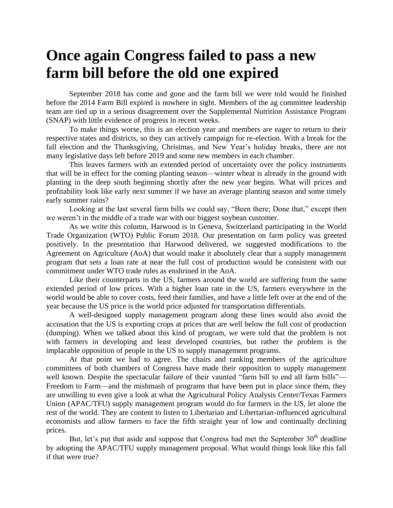## **Once again Congress failed to pass a new farm bill before the old one expired**

September 2018 has come and gone and the farm bill we were told would be finished before the 2014 Farm Bill expired is nowhere in sight. Members of the ag committee leadership team are tied up in a serious disagreement over the Supplemental Nutrition Assistance Program (SNAP) with little evidence of progress in recent weeks.

To make things worse, this is an election year and members are eager to return to their respective states and districts, so they can actively campaign for re-election. With a break for the fall election and the Thanksgiving, Christmas, and New Year's holiday breaks, there are not many legislative days left before 2019 and some new members in each chamber.

This leaves farmers with an extended period of uncertainty over the policy instruments that will be in effect for the coming planting season—winter wheat is already in the ground with planting in the deep south beginning shortly after the new year begins. What will prices and profitability look like early next summer if we have an average planting season and some timely early summer rains?

Looking at the last several farm bills we could say, "Been there; Done that," except then we weren't in the middle of a trade war with our biggest soybean customer.

As we write this column, Harwood is in Geneva, Switzerland participating in the World Trade Organization (WTO) Public Forum 2018. Our presentation on farm policy was greeted positively. In the presentation that Harwood delivered, we suggested modifications to the Agreement on Agriculture (AoA) that would make it absolutely clear that a supply management program that sets a loan rate at near the full cost of production would be consistent with our commitment under WTO trade rules as enshrined in the AoA.

Like their counterparts in the US, farmers around the world are suffering from the same extended period of low prices. With a higher loan rate in the US, farmers everywhere in the world would be able to cover costs, feed their families, and have a little left over at the end of the year because the US price is the world price adjusted for transportation differentials.

A well-designed supply management program along these lines would also avoid the accusation that the US is exporting crops at prices that are well below the full cost of production (dumping). When we talked about this kind of program, we were told that the problem is not with farmers in developing and least developed countries, but rather the problem is the implacable opposition of people in the US to supply management programs.

At that point we had to agree. The chairs and ranking members of the agriculture committees of both chambers of Congress have made their opposition to supply management well known. Despite the spectacular failure of their vaunted "farm bill to end all farm bills"— Freedom to Farm—and the mishmash of programs that have been put in place since them, they are unwilling to even give a look at what the Agricultural Policy Analysis Center/Texas Farmers Union (APAC/TFU) supply management program would do for farmers in the US, let alone the rest of the world. They are content to listen to Libertarian and Libertarian-influenced agricultural economists and allow farmers to face the fifth straight year of low and continually declining prices.

But, let's put that aside and suppose that Congress had met the September  $30<sup>th</sup>$  deadline by adopting the APAC/TFU supply management proposal. What would things look like this fall if that were true?